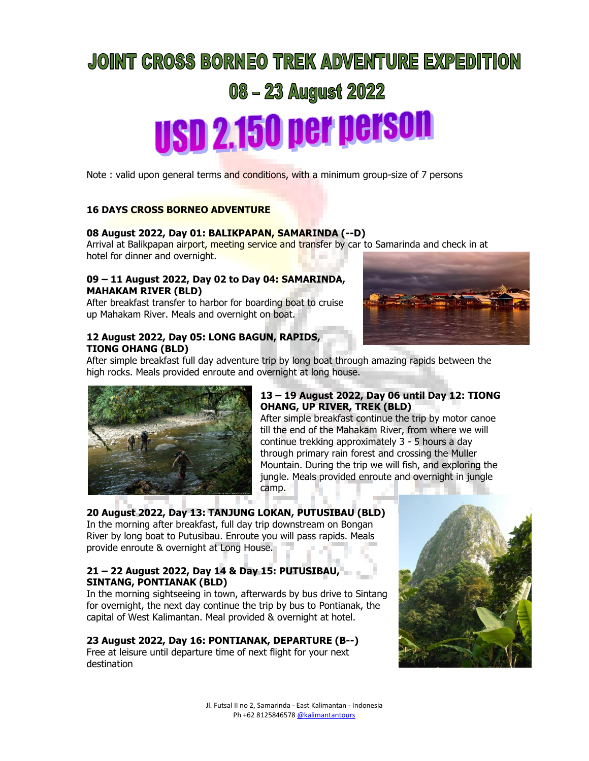# **JOINT CROSS BORNEO TREK ADVENTURE EXPEDITION 08 - 23 August 2022 USD 2.150 per person**

Note : valid upon general terms and conditions, with a minimum group-size of 7 persons

### **16 DAYS CROSS BORNEO ADVENTURE**

### **08 August 2022, Day 01: BALIKPAPAN, SAMARINDA (--D)**

Arrival at Balikpapan airport, meeting service and transfer by car to Samarinda and check in at hotel for dinner and overnight.

### **09 – 11 August 2022, Day 02 to Day 04: SAMARINDA, MAHAKAM RIVER (BLD)**

After breakfast transfer to harbor for boarding boat to cruise up Mahakam River. Meals and overnight on boat.

### **12 August 2022, Day 05: LONG BAGUN, RAPIDS, TIONG OHANG (BLD)**

After simple breakfast full day adventure trip by long boat through amazing rapids between the high rocks. Meals provided enroute and overnight at long house.



### **13 – 19 August 2022, Day 06 until Day 12: TIONG OHANG, UP RIVER, TREK (BLD)**

After simple breakfast continue the trip by motor canoe till the end of the Mahakam River, from where we will continue trekking approximately 3 - 5 hours a day through primary rain forest and crossing the Muller Mountain. During the trip we will fish, and exploring the jungle. Meals provided enroute and overnight in jungle camp.

## **20 August 2022, Day 13: TANJUNG LOKAN, PUTUSIBAU (BLD)**

In the morning after breakfast, full day trip downstream on Bongan River by long boat to Putusibau. Enroute you will pass rapids. Meals provide enroute & overnight at Long House.

### **21 – 22 August 2022, Day 14 & Day 15: PUTUSIBAU, SINTANG, PONTIANAK (BLD)**

In the morning sightseeing in town, afterwards by bus drive to Sintang for overnight, the next day continue the trip by bus to Pontianak, the capital of West Kalimantan. Meal provided & overnight at hotel.

### **23 August 2022, Day 16: PONTIANAK, DEPARTURE (B--)**

Free at leisure until departure time of next flight for your next destination

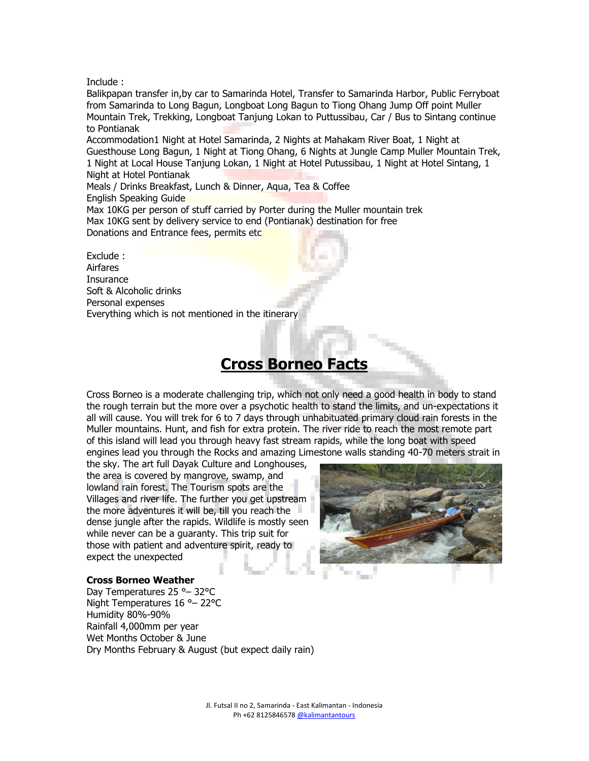Include :

Balikpapan transfer in,by car to Samarinda Hotel, Transfer to Samarinda Harbor, Public Ferryboat from Samarinda to Long Bagun, Longboat Long Bagun to Tiong Ohang Jump Off point Muller Mountain Trek, Trekking, Longboat Tanjung Lokan to Puttussibau, Car / Bus to Sintang continue to Pontianak

Accommodation1 Night at Hotel Samarinda, 2 Nights at Mahakam River Boat, 1 Night at Guesthouse Long Bagun, 1 Night at Tiong Ohang, 6 Nights at Jungle Camp Muller Mountain Trek, 1 Night at Local House Tanjung Lokan, 1 Night at Hotel Putussibau, 1 Night at Hotel Sintang, 1 Night at Hotel Pontianak

Meals / Drinks Breakfast, Lunch & Dinner, Aqua, Tea & Coffee English Speaking Guide

Max 10KG per person of stuff carried by Porter during the Muller mountain trek Max 10KG sent by delivery service to end (Pontianak) destination for free Donations and Entrance fees, permits etc

Exclude : Airfares **Insurance** Soft & Alcoholic drinks Personal expenses Everything which is not mentioned in the itinerary

### **Cross Borneo Facts**

Cross Borneo is a moderate challenging trip, which not only need a good health in body to stand the rough terrain but the more over a psychotic health to stand the limits, and un-expectations it all will cause. You will trek for 6 to 7 days through unhabituated primary cloud rain forests in the Muller mountains. Hunt, and fish for extra protein. The river ride to reach the most remote part of this island will lead you through heavy fast stream rapids, while the long boat with speed engines lead you through the Rocks and amazing Limestone walls standing 40-70 meters strait in

the sky. The art full Dayak Culture and Longhouses, the area is covered by mangrove, swamp, and lowland rain forest. The Tourism spots are the Villages and river life. The further you get upstream the more adventures it will be, till you reach the dense jungle after the rapids. Wildlife is mostly seen while never can be a guaranty. This trip suit for those with patient and adventure spirit, ready to expect the unexpected



### **Cross Borneo Weather**

Day Temperatures 25 °– 32°C Night Temperatures 16 °– 22°C Humidity 80%-90% Rainfall 4,000mm per year Wet Months October & June Dry Months February & August (but expect daily rain)